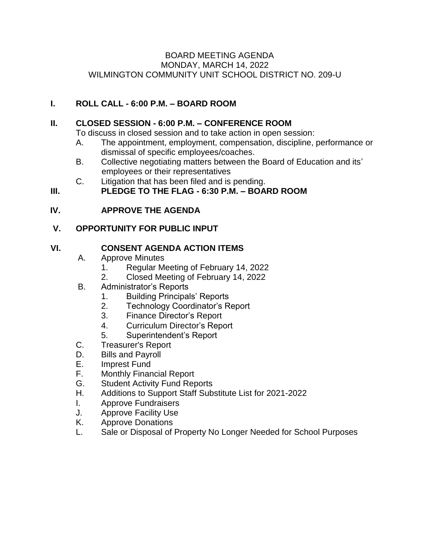#### BOARD MEETING AGENDA MONDAY, MARCH 14, 2022 WILMINGTON COMMUNITY UNIT SCHOOL DISTRICT NO. 209-U

### **I. ROLL CALL - 6:00 P.M. – BOARD ROOM**

#### **II. CLOSED SESSION - 6:00 P.M. – CONFERENCE ROOM**

To discuss in closed session and to take action in open session:

- A. The appointment, employment, compensation, discipline, performance or dismissal of specific employees/coaches.
- B. Collective negotiating matters between the Board of Education and its' employees or their representatives
- C. Litigation that has been filed and is pending.

# **III. PLEDGE TO THE FLAG - 6:30 P.M. – BOARD ROOM**

### **IV. APPROVE THE AGENDA**

## **V. OPPORTUNITY FOR PUBLIC INPUT**

### **VI. CONSENT AGENDA ACTION ITEMS**

- A. Approve Minutes
	- 1. Regular Meeting of February 14, 2022
	- 2. Closed Meeting of February 14, 2022
- B. Administrator's Reports
	- 1. Building Principals' Reports
	- 2. Technology Coordinator's Report
	- 3. Finance Director's Report
	- 4. Curriculum Director's Report
	- 5. Superintendent's Report
- C. Treasurer's Report
- D. Bills and Payroll
- E. Imprest Fund
- F. Monthly Financial Report
- G. Student Activity Fund Reports
- H. Additions to Support Staff Substitute List for 2021-2022
- I. Approve Fundraisers
- J. Approve Facility Use
- K. Approve Donations
- L. Sale or Disposal of Property No Longer Needed for School Purposes